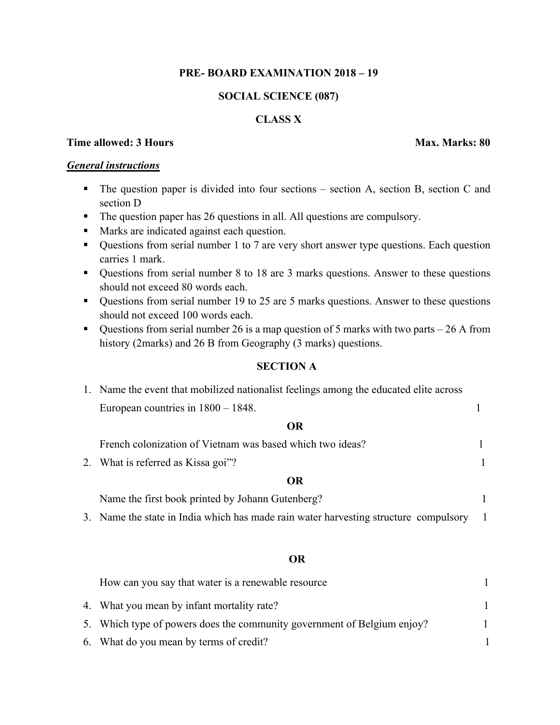## **PRE- BOARD EXAMINATION 2018 – 19**

## **SOCIAL SCIENCE (087)**

## **CLASS X**

## **Time allowed: 3 Hours Max. Marks: 80**

### *General instructions*

- The question paper is divided into four sections section A, section B, section C and section D
- The question paper has 26 questions in all. All questions are compulsory.
- Marks are indicated against each question.
- Questions from serial number 1 to 7 are very short answer type questions. Each question carries 1 mark.
- Questions from serial number 8 to 18 are 3 marks questions. Answer to these questions should not exceed 80 words each.
- Questions from serial number 19 to 25 are 5 marks questions. Answer to these questions should not exceed 100 words each.
- Questions from serial number 26 is a map question of 5 marks with two parts  $-26$  A from history (2marks) and 26 B from Geography (3 marks) questions.

#### **SECTION A**

| 1. Name the event that mobilized nationalist feelings among the educated elite across |  |
|---------------------------------------------------------------------------------------|--|
| European countries in $1800 - 1848$ .                                                 |  |

### **OR**

| French colonization of Vietnam was based which two ideas? |  |
|-----------------------------------------------------------|--|
| 2. What is referred as Kissa goi"?                        |  |
| OR                                                        |  |

| Name the first book printed by Johann Gutenberg? |  |
|--------------------------------------------------|--|
|--------------------------------------------------|--|

3. Name the state in India which has made rain water harvesting structure compulsory 1

#### **OR**

| How can you say that water is a renewable resource                      |  |
|-------------------------------------------------------------------------|--|
| 4. What you mean by infant mortality rate?                              |  |
| 5. Which type of powers does the community government of Belgium enjoy? |  |
| 6. What do you mean by terms of credit?                                 |  |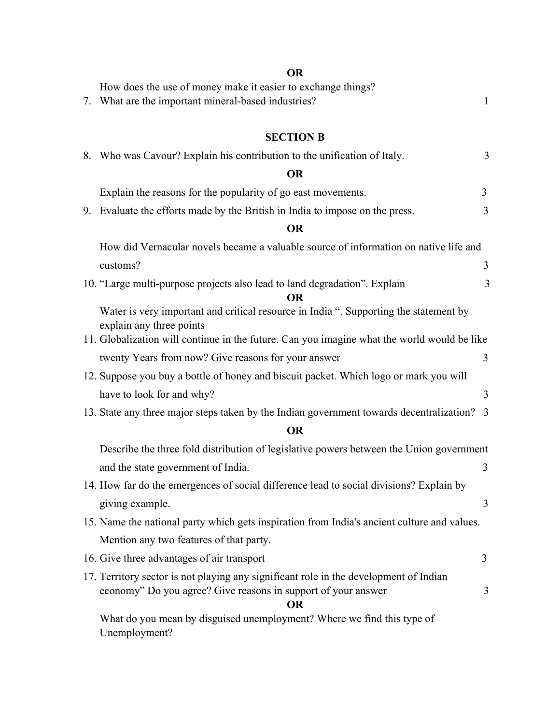# **OR**

| How does the use of money make it easier to exchange things?<br>7. What are the important mineral-based industries?                                                                                              | $\mathbf{1}$   |
|------------------------------------------------------------------------------------------------------------------------------------------------------------------------------------------------------------------|----------------|
| <b>SECTION B</b>                                                                                                                                                                                                 |                |
| 8. Who was Cavour? Explain his contribution to the unification of Italy.                                                                                                                                         | 3              |
| <b>OR</b>                                                                                                                                                                                                        |                |
| Explain the reasons for the popularity of go east movements.                                                                                                                                                     | $\overline{3}$ |
| 9. Evaluate the efforts made by the British in India to impose on the press.                                                                                                                                     | 3              |
| <b>OR</b>                                                                                                                                                                                                        |                |
| How did Vernacular novels became a valuable source of information on native life and                                                                                                                             |                |
| customs?                                                                                                                                                                                                         | 3              |
| 10. "Large multi-purpose projects also lead to land degradation". Explain<br><b>OR</b>                                                                                                                           | 3              |
| Water is very important and critical resource in India ". Supporting the statement by<br>explain any three points<br>11. Globalization will continue in the future. Can you imagine what the world would be like |                |
| twenty Years from now? Give reasons for your answer                                                                                                                                                              | 3              |
| 12. Suppose you buy a bottle of honey and biscuit packet. Which logo or mark you will                                                                                                                            |                |
| have to look for and why?                                                                                                                                                                                        | 3              |
| 13. State any three major steps taken by the Indian government towards decentralization? 3                                                                                                                       |                |
| <b>OR</b>                                                                                                                                                                                                        |                |
| Describe the three fold distribution of legislative powers between the Union government                                                                                                                          |                |
| and the state government of India.                                                                                                                                                                               | 3              |
| 14. How far do the emergences of social difference lead to social divisions? Explain by                                                                                                                          |                |
| giving example.                                                                                                                                                                                                  | 3              |
| 15. Name the national party which gets inspiration from India's ancient culture and values.                                                                                                                      |                |
| Mention any two features of that party.                                                                                                                                                                          |                |
| 16. Give three advantages of air transport                                                                                                                                                                       | 3              |
|                                                                                                                                                                                                                  |                |
| 17. Territory sector is not playing any significant role in the development of Indian<br>economy" Do you agree? Give reasons in support of your answer<br><b>OR</b>                                              | 3              |
| What do you mean by disguised unemployment? Where we find this type of<br>Unemployment?                                                                                                                          |                |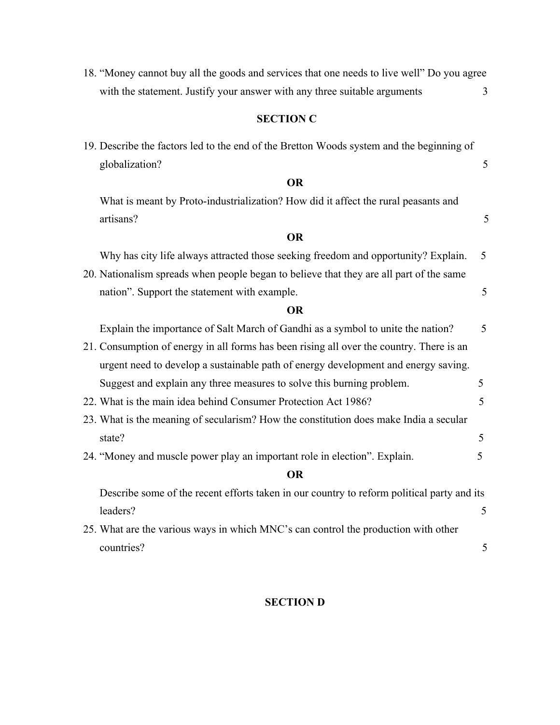18. "Money cannot buy all the goods and services that one needs to live well" Do you agree with the statement. Justify your answer with any three suitable arguments 3

## **SECTION C**

19. Describe the factors led to the end of the Bretton Woods system and the beginning of globalization? 5

#### **OR**

What is meant by Proto-industrialization? How did it affect the rural peasants and artisans? 5

#### **OR**

Why has city life always attracted those seeking freedom and opportunity? Explain. 5

20. Nationalism spreads when people began to believe that they are all part of the same nation". Support the statement with example. 5

#### **OR**

| Explain the importance of Salt March of Gandhi as a symbol to unite the nation?            | 5  |
|--------------------------------------------------------------------------------------------|----|
| 21. Consumption of energy in all forms has been rising all over the country. There is an   |    |
| urgent need to develop a sustainable path of energy development and energy saving.         |    |
| Suggest and explain any three measures to solve this burning problem.                      | 5. |
| 22. What is the main idea behind Consumer Protection Act 1986?                             | 5. |
| 23. What is the meaning of secularism? How the constitution does make India a secular      |    |
| state?                                                                                     | 5. |
| 24. "Money and muscle power play an important role in election". Explain.                  | 5  |
| <b>OR</b>                                                                                  |    |
| Describe some of the recent efforts taken in our country to reform political party and its |    |
| leaders?                                                                                   | 5  |
| 25. What are the various ways in which MNC's can control the production with other         |    |
| countries?                                                                                 | 5  |

#### **SECTION D**